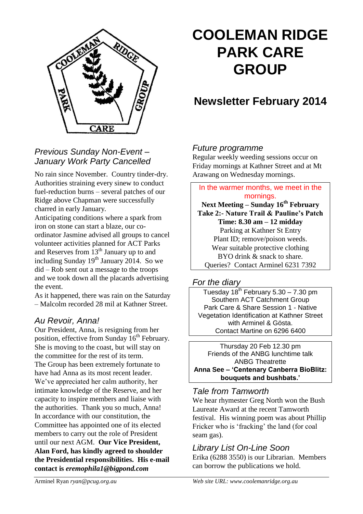

# **COOLEMAN RIDGE PARK CARE GROUP**

## **Newsletter February 2014**

## *Future programme*

Regular weekly weeding sessions occur on Friday mornings at Kathner Street and at Mt Arawang on Wednesday mornings.

In the warmer months, we meet in the

No rain since November. Country tinder-dry. Authorities straining every sinew to conduct fuel-reduction burns – several patches of our Ridge above Chapman were successfully charred in early January.

*Previous Sunday Non-Event – January Work Party Cancelled*

Anticipating conditions where a spark from iron on stone can start a blaze, our coordinator Jasmine advised all groups to cancel volunteer activities planned for ACT Parks and Reserves from 13th January up to and including Sunday  $19<sup>th</sup>$  January 2014. So we did – Rob sent out a message to the troops and we took down all the placards advertising the event.

As it happened, there was rain on the Saturday – Malcolm recorded 28 mil at Kathner Street.

## *Au Revoir, Anna!*

Our President, Anna, is resigning from her position, effective from Sunday  $16<sup>th</sup>$  February. She is moving to the coast, but will stay on the committee for the rest of its term. The Group has been extremely fortunate to have had Anna as its most recent leader. We've appreciated her calm authority, her intimate knowledge of the Reserve, and her capacity to inspire members and liaise with the authorities. Thank you so much, Anna! In accordance with our constitution, the Committee has appointed one of its elected members to carry out the role of President until our next AGM. **Our Vice President, Alan Ford, has kindly agreed to shoulder the Presidential responsibilities. His e-mail contact is** *eremophila1@bigpond.com*

mornings. **Next Meeting – Sunday 16th February Take 2:- Nature Trail & Pauline's Patch Time: 8.30 am – 12 midday** Parking at Kathner St Entry Plant ID; remove/poison weeds. Wear suitable protective clothing BYO drink & snack to share. Queries? Contact Arminel 6231 7392

## *For the diary*

Tuesday  $18^{th}$  February 5.30 – 7.30 pm Southern ACT Catchment Group Park Care & Share Session 1 - Native Vegetation Identification at Kathner Street with Arminel & Gösta. Contact Martine on 6296 6400

Thursday 20 Feb 12.30 pm Friends of the ANBG lunchtime talk ANBG Theatrette **Anna See – 'Centenary Canberra BioBlitz: bouquets and bushbats.'**

## *Tale from Tamworth*

We hear rhymester Greg North won the Bush Laureate Award at the recent Tamworth festival. His winning poem was about Phillip Fricker who is 'fracking' the land (for coal seam gas).

## *Library List On-Line Soon*

Erika (6288 3550) is our Librarian. Members can borrow the publications we hold.